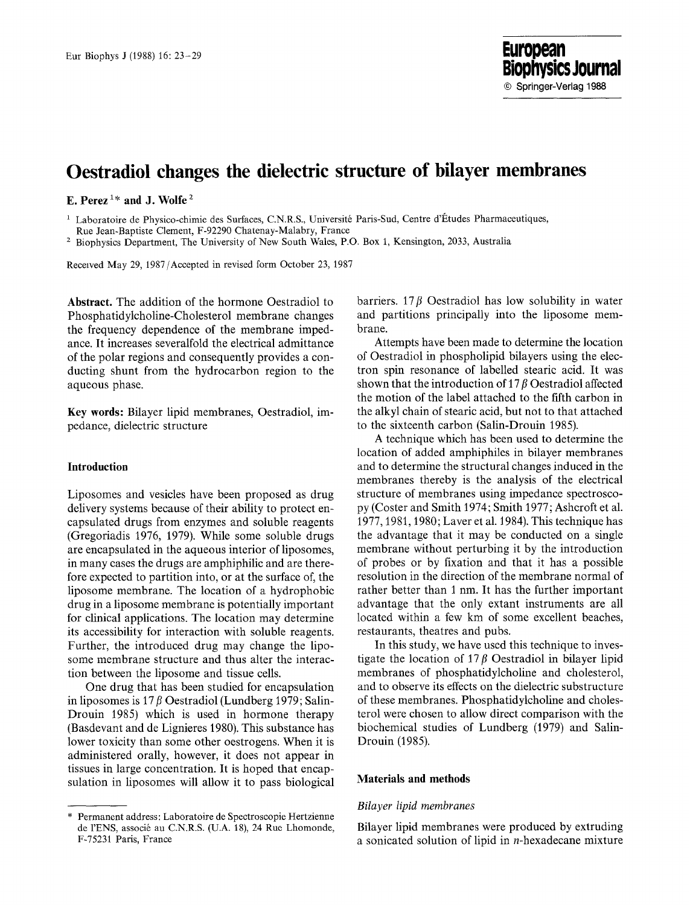# **Oestradiol changes the dielectric structure of bilayer membranes**

#### **E. Perez**<sup>1\*</sup> and J. Wolfe<sup>2</sup>

<sup>1</sup> Laboratoire de Physico-chimie des Surfaces, C.N.R.S., Université Paris-Sud, Centre d'Études Pharmaceutiques, Rue Jean-Baptiste Clement, F-92290 Chatenay-Malabry, France

2 Biophysics Department, The University of New South Wales, P.O. Box 1, Kensington, 2033, Australia

Received May 29, 1987/Accepted in revised form October 23, 1987

**Abstract.** The addition of the hormone Oestradiol to Phosphatidylcholine-Cholesterol membrane changes the frequency dependence of the membrane impedance. It increases severalfold the electrical admittance of the polar regions and consequently provides a conducting shunt from the hydrocarbon region to the aqueous phase.

**Key words:** Bilayer lipid membranes, Oestradiol, impedance, dielectric structure

## **Introduction**

Liposomes and vesicles have been proposed as drug delivery systems because of their ability to protect encapsulated drugs from enzymes and soluble reagents (Gregoriadis 1976, 1979). While some soluble drugs are encapsulated in the aqueous interior of liposomes, in many cases the drugs are amphiphilic and are therefore expected to partition into, or at the surface of, the liposome membrane. The location of a hydrophobic drug in a liposome membrane is potentially important for clinical applications. The location may determine its accessibility for interaction with soluble reagents. Further, the introduced drug may change the liposome membrane structure and thus alter the interaction between the liposome and tissue cells.

One drug that has been studied for encapsulation in liposomes is  $17~\beta$  Oestradiol (Lundberg 1979; Salin-Drouin 1985) which is used in hormone therapy (Basdevant and de Lignieres 1980). This substance has lower toxicity than some other oestrogens. When it is administered orally, however, it does not appear in tissues in large concentration. It is hoped that encapsulation in liposomes will allow it to pass biological barriers. 17 $\beta$  Oestradiol has low solubility in water and partitions principally into the liposome membrane.

Attempts have been made to determine the location of Oestradiol in phospholipid bilayers using the electron spin resonance of labelled stearie acid. It was shown that the introduction of  $17 \beta$  Oestradiol affected the motion of the label attached to the fifth carbon in the alkyl chain of stearic acid, but not to that attached to the sixteenth carbon (Salin-Drouin 1985).

A technique which has been used to determine the location of added amphiphiles in bilayer membranes and to determine the structural changes induced in the membranes thereby is the analysis of the electrical structure of membranes using impedance spectroscopy (Coster and Smith 1974; Smith 1977; Asheroft et al. 1977, 1981, 1980; Laver et al. 1984). This technique has the advantage that it may be conducted on a single membrane without perturbing it by the introduction of probes or by fixation and that it has a possible resolution in the direction of the membrane normal of rather better than 1 nm. It has the further important advantage that the only extant instruments are all located within a few km of some excellent beaches, restaurants, theatres and pubs.

In this study, we have used this technique to investigate the location of 17 $\beta$  Oestradiol in bilayer lipid membranes of phosphatidylcholine and cholesterol, and to observe its effects on the dielectric substructure of these membranes. Phosphatidylcholine and cholesterol were chosen to allow direct comparison with the biochemical studies of Lundberg (1979) and Salin-Drouin (1985).

#### **Materials and methods**

#### *Bilayer lipid membranes*

Bilayer lipid membranes were produced by extruding a sonicated solution of lipid in n-hexadecane mixture

<sup>\*</sup> Permanent address: Laboratoire de Spectroscopic Hertzienne de l'ENS, associé au C.N.R.S. (U.A. 18), 24 Rue Lhomonde, F-75231 Paris, France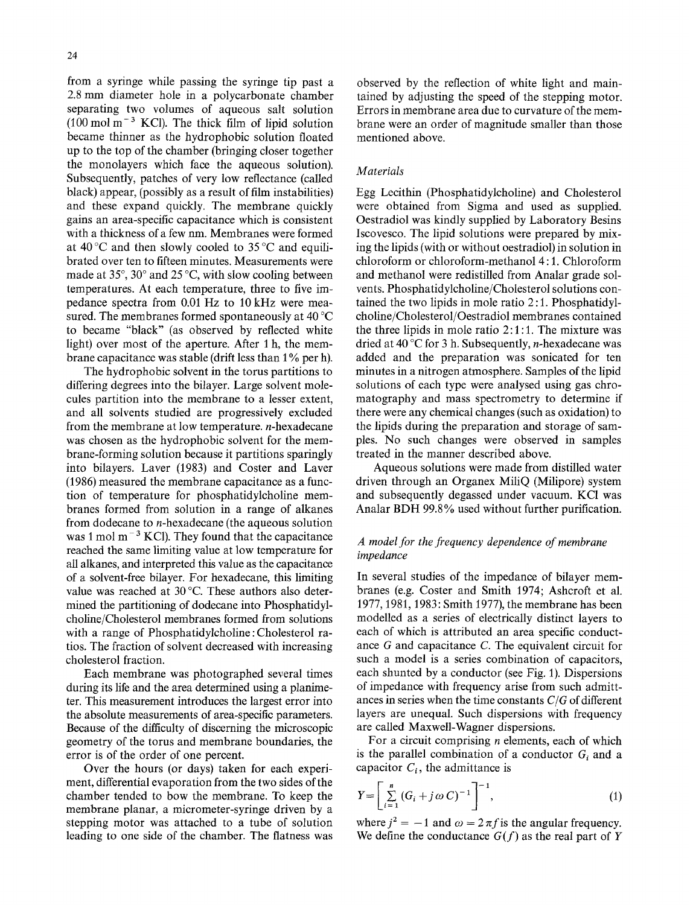from a syringe while passing the syringe tip past a 2.8 mm diameter hole in a polycarbonate chamber separating two volumes of aqueous salt solution  $(100 \text{ mol m}^{-3} \text{ KCl})$ . The thick film of lipid solution became thinner as the hydrophobic solution floated up to the top of the chamber (bringing closer together the monolayers which face the aqueous solution). Subsequently, patches of very low reflectance (called black) appear, (possibly as a result of film instabilities) and these expand quickly. The membrane quickly gains an area-specific capacitance which is consistent with a thickness of a few nm. Membranes were formed at 40 °C and then slowly cooled to 35 °C and equilibrated over ten to fifteen minutes. Measurements were made at  $35^{\circ}$ ,  $30^{\circ}$  and  $25^{\circ}$ C, with slow cooling between temperatures. At each temperature, three to five impedance spectra from 0.01 Hz to 10 kHz were measured. The membranes formed spontaneously at 40 °C to became "black" (as observed by reflected white light) over most of the aperture. After 1 h, the membrane capacitance was stable (drift less than 1% per h).

The hydrophobic solvent in the torus partitions to differing degrees into the bilayer. Large solvent molecules partition into the membrane to a lesser extent, and all solvents studied are progressively excluded from the membrane at low temperature, n-hexadecane was chosen as the hydrophobic solvent for the membrane-forming solution because it partitions sparingly into bilayers. Laver (1983) and Coster and Laver  $(1986)$  measured the membrane capacitance as a function of temperature for phosphatidylcholine membranes formed from solution in a range of alkanes from dodecane to n-hexadecane (the aqueous solution was 1 mol  $m^{-3}$  KCl). They found that the capacitance reached the same limiting value at low temperature for all alkanes, and interpreted this value as the capacitance of a solvent-free bilayer. For hexadecane, this limiting value was reached at 30 °C. These authors also determined the partitioning of dodecane into Phosphatidylcholine/Cholesterol membranes formed from solutions with a range of Phosphatidylcholine:Cholesterol ratios. The fraction of solvent decreased with increasing cholesterol fraction.

Each membrane was photographed several times during its life and the area determined using a planimeter. This measurement introduces the largest error into the absolute measurements of area-specific parameters. Because of the difficulty of discerning the microscopic geometry of the torus and membrane boundaries, the error is of the order of one percent.

Over the hours (or days) taken for each experiment, differential evaporation from the two sides of the chamber tended to bow the membrane. To keep the membrane planar, a micrometer-syringe driven by a stepping motor was attached to a tube of solution leading to one side of the chamber. The flatness was observed by the reflection of white light and maintained by adjusting the speed of the stepping motor. Errors in membrane area due to curvature of the membrane were an order of magnitude smaller than those mentioned above.

## *Materials*

Egg Lecithin (Phosphatidylcholine) and Cholesterol were obtained from Sigma and used as supplied. Oestradiol was kindly supplied by Laboratory Besins Iscovesco. The lipid solutions were prepared by mixing the lipids (with or without oestradiol) in solution in chloroform or chloroform-methanol 4 : 1. Chloroform and methanol were redistilled from Analar grade solvents. Phosphatidylcholine/Cholesterol solutions contained the two lipids in mole ratio 2 : 1. Phosphatidylcholine/Cholesterol/Oestradiol membranes contained the three lipids in mole ratio  $2:1:1$ . The mixture was dried at 40 °C for 3 h. Subsequently, *n*-hexadecane was added and the preparation was sonicated for ten minutes in a nitrogen atmosphere. Samples of the lipid solutions of each type were analysed using gas chromatography and mass spectrometry to determine if there were any chemical changes (such as oxidation) to the lipids during the preparation and storage of samples. No such changes were observed in samples treated in the manner described above.

Aqueous solutions were made from distilled water driven through an Organex MiliQ (Milipore) system and subsequently degassed under vacuum. KC1 was Analar BDH 99.8% used without further purification.

## *A model for the frequency dependence of membrane impedance*

In several studies of the impedance of bilayer membranes (e.g. Coster and Smith 1974; Ashcroft et al. 1977, 1981, 1983: Smith 1977), the membrane has been modelled as a series of electrically distinct layers to each of which is attributed an area specific conductance G and capacitance C. The equivalent circuit for such a model is a series combination of capacitors, each shunted by a conductor (see Fig. 1). Dispersions of impedance with frequency arise from such admittances in series when the time constants *C/G* of different layers are unequal. Such dispersions with frequency are called Maxwell-Wagner dispersions.

For a circuit comprising *n* elements, each of which is the parallel combination of a conductor  $G_i$  and a capacitor  $C_i$ , the admittance is

$$
Y = \left[ \sum_{i=1}^{n} (G_i + j \omega C)^{-1} \right]^{-1}, \tag{1}
$$

where  $j^2 = -1$  and  $\omega = 2 \pi f$  is the angular frequency. We define the conductance  $G(f)$  as the real part of Y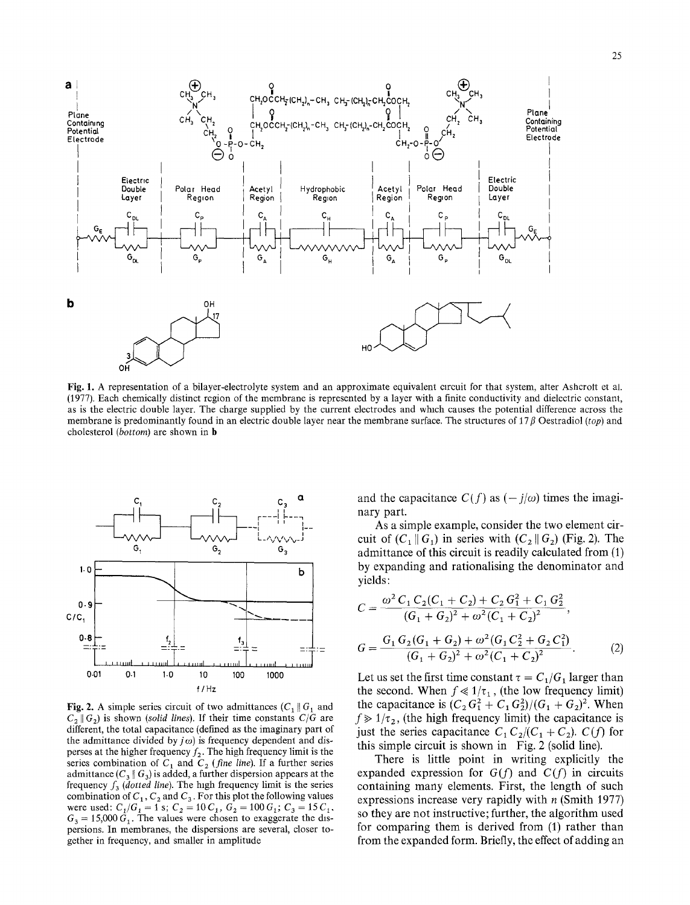

Fig. 1. A representation of a bilayer-electrolyte system and an approximate equivalent circuit for that system, atter Ashcrott et al. (1977). Each chemically distinct region of the membrane is represented by a layer with a finite conductivity and dielectric constant, as is the electric double layer. The charge supplied by the current electrodes and which causes the potential difference across the membrane is predominantly found in an electric double layer near the membrane surface. The structures of  $17 \beta$  Oestradiol *(top)* and cholesterol *(bottom)* are shown in **b** 



Fig. 2. A simple series circuit of two admittances  $(C_1 \nvert G_1)$  and  $C_2 \parallel G_2$  is shown *(solid lines)*. If their time constants  $C/G$  are different, the total capacitance (defined as the imaginary part of the admittance divided by  $j\omega$ ) is frequency dependent and disperses at the higher frequency  $f_2$ . The high frequency limit is the series combination of  $C_1$  and  $C_2$  (*fine line*). If a further series admittance  $(C_3 \nvert G_3)$  is added, a further dispersion appears at the frequency  $f_3$  *(dotted line)*. The high frequency limit is the series combination of  $C_1$ ,  $C_2$  and  $C_3$ . For this plot the following values were used:  $C_1/G_1 = 1$  s;  $C_2 = 10 C_1$ ,  $G_2 = 100 G_1$ ;  $C_3 = 15 C_1$ ,  $G_3 = 15,000 G_1$ . The values were chosen to exaggerate the dispersions. In membranes, the dispersions are several, closer together in frequency, and smaller in amplitude

and the capacitance  $C(f)$  as  $\left(-\frac{i}{\omega}\right)$  times the imaginary part.

As a simple example, consider the two element circuit of  $(C_1 \parallel G_1)$  in series with  $(C_2 \parallel G_2)$  (Fig. 2). The admittance of this circuit is readily calculated from (1) by expanding and rationalising the denominator and yields:

$$
C = \frac{\omega^2 C_1 C_2 (C_1 + C_2) + C_2 G_1^2 + C_1 G_2^2}{(G_1 + G_2)^2 + \omega^2 (C_1 + C_2)^2},
$$
  
\n
$$
G = \frac{G_1 G_2 (G_1 + G_2) + \omega^2 (G_1 C_2^2 + G_2 C_1^2)}{(G_1 + G_2)^2 + \omega^2 (C_1 + C_2)^2}.
$$
 (2)

Let us set the first time constant  $\tau = C_1/G_1$  larger than the second. When  $f \ll 1/\tau_1$ , (the low frequency limit) the capacitance is  $(C_2 G_1^2 + C_1 G_2^2)/(G_1 + G_2)^2$ . When  $f \geq 1/\tau_2$ , (the high frequency limit) the capacitance is just the series capacitance  $C_1 C_2 / (C_1 + C_2)$ .  $C(f)$  for this simple circuit is shown in Fig. 2 (solid line).

There is little point in writing explicitly the expanded expression for  $G(f)$  and  $C(f)$  in circuits containing many elements. First, the length of such expressions increase very rapidly with  $n$  (Smith 1977) so they are not instructive; further, the algorithm used for comparing them is derived from (1) rather than from the expanded form. Briefly, the effect of adding an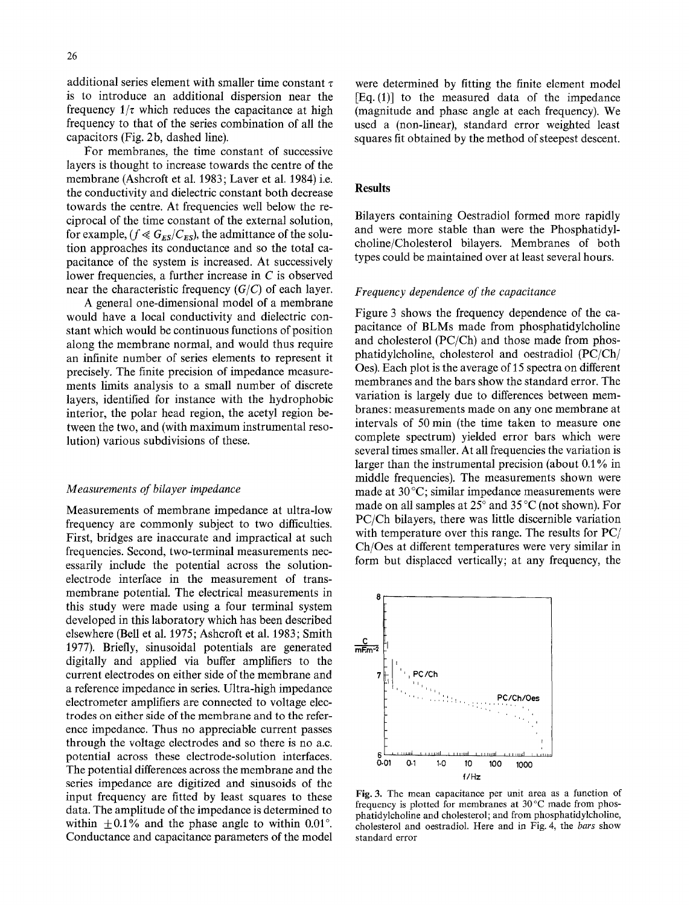additional series element with smaller time constant  $\tau$ is to introduce an additional dispersion near the frequency  $1/\tau$  which reduces the capacitance at high frequency to that of the series combination of all the capacitors (Fig. 2b, dashed line).

For membranes, the time constant of successive layers is thought to increase towards the centre of the membrane (Ashcroft et al. 1983; Laver et al. 1984) i.e. the conductivity and dielectric constant both decrease towards the centre. At frequencies well below the reciprocal of the time constant of the external solution, for example, ( $f \ll G_{ES}/C_{ES}$ ), the admittance of the solution approaches its conductance and so the total capacitance of the system is increased. At successively lower frequencies, a further increase in C is observed near the characteristic frequency *(G/C)* of each layer.

A general one-dimensional model of a membrane would have a local conductivity and dielectric constant which would be continuous functions of position along the membrane normal, and would thus require an infinite number of series elements to represent it precisely. The finite precision of impedance measurements limits analysis to a small number of discrete layers, identified for instance with the hydrophobic interior, the polar head region, the acetyl region between the two, and (with maximum instrumental resolution) various subdivisions of these.

#### *Measurements of bilayer impedance*

Measurements of membrane impedance at ultra-low frequency are commonly subject to two difficulties. First, bridges are inaccurate and impractical at such frequencies. Second, two-terminal measurements necessarily include the potential across the solutionelectrode interface in the measurement of transmembrane potential. The electrical measurements in this study were made using a four terminal system developed in this laboratory which has been described elsewhere (Bell et al. 1975; Ashcroft et al. 1983; Smith 1977). Briefly, sinusoidal potentials are generated digitally and applied via buffer amplifiers to the current electrodes on either side of the membrane and a reference impedance in series. Ultra-high impedance electrometer amplifiers are connected to voltage electrodes on either side of the membrane and to the reference impedance. Thus no appreciable current passes through the voltage electrodes and so there is no a.c. potential across these electrode-solution interfaces. The potential differences across the membrane and the series impedance are digitized and sinusoids of the input frequency are fitted by least squares to these data. The amplitude of the impedance is determined to within  $\pm 0.1\%$  and the phase angle to within 0.01<sup>°</sup>. Conductance and capacitance parameters of the model

were determined by fitting the finite element model  $[Eq. (1)]$  to the measured data of the impedance (magnitude and phase angle at each frequency). We used a (non-linear), standard error weighted least squares fit obtained by the method of steepest descent.

#### **Results**

Bilayers containing Oestradiol formed more rapidly and were more stable than were the Phosphatidylcholine/Cholesterol bilayers. Membranes of both types could be maintained over at least several hours.

### *Frequency dependence of the capacitance*

Figure 3 shows the frequency dependence of the capacitance of BLMs made from phosphatidylcholine and cholesterol (PC/Ch) and those made from phosphatidylcholine, cholesterol and oestradiol (PC/Ch/ Oes). Each plot is the average of 15 spectra on different membranes and the bars show the standard error. The variation is largely due to differences between membranes: measurements made on any one membrane at intervals of 50 min (the time taken to measure one complete spectrum) yielded error bars which were several times smaller. At all frequencies the variation is larger than the instrumental precision (about 0.1% in middle frequencies). The measurements shown were made at 30 °C; similar impedance measurements were made on all samples at  $25^{\circ}$  and  $35^{\circ}$ C (not shown). For PC/Ch bilayers, there was little discernible variation with temperature over this range. The results for PC/ Ch/Oes at different temperatures were very similar in form but displaced vertically; at any frequency, the



Fig. 3. The mean capacitance per unit area as a function of frequency is plotted for membranes at 30 °C made from phosphatidylcholine and cholesterol; and from phosphatidylcholine, cholesterol and oestradiol. Here and in Fig. 4, the *bars* show standard error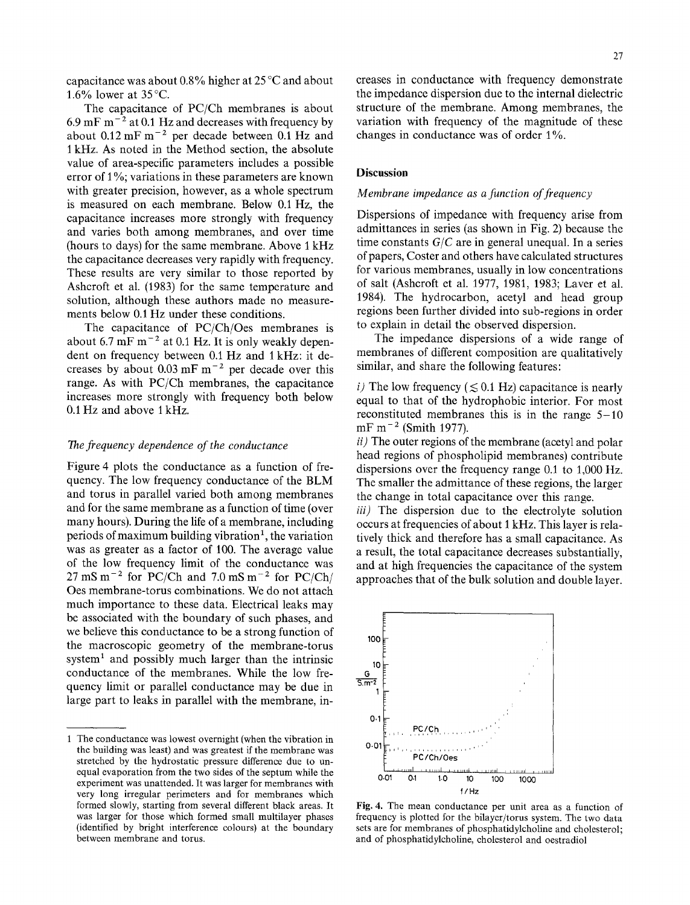capacitance was about 0.8% higher at 25 °C and about 1.6% lower at  $35^{\circ}$ C.

The capacitance of PC/Ch membranes is about 6.9 mF  $m^{-2}$  at 0.1 Hz and decreases with frequency by about  $0.12 \text{ mF m}^{-2}$  per decade between  $0.1 \text{ Hz}$  and 1 kHz. As noted in the Method section, the absolute value of area-specific parameters includes a possible error of 1%; variations in these parameters are known with greater precision, however, as a whole spectrum is measured on each membrane. Below 0.1 Hz, the capacitance increases more strongly with frequency and varies both among membranes, and over time (hours to days) for the same membrane. Above 1 kHz the capacitance decreases very rapidly with frequency. These results are very similar to those reported by Ashcroft et al. (1983) for the same temperature and solution, although these authors made no measurements below 0.1 Hz under these conditions.

The capacitance of PC/Ch/Oes membranes is about 6.7 mF  $m^{-2}$  at 0.1 Hz. It is only weakly dependent on frequency between 0.1 Hz and 1 kHz: it decreases by about  $0.03 \text{ mF m}^{-2}$  per decade over this range. As with PC/Ch membranes, the capacitance increases more strongly with frequency both below 0.1 Hz and above I kHz.

## *The frequency dependence of the conductance*

Figure 4 plots the conductance as a function of frequency. The low frequency conductance of the BLM and torus in parallel varied both among membranes and for the same membrane as a function of time (over many hours). During the life of a membrane, including periods of maximum building vibration<sup>1</sup>, the variation was as greater as a factor of 100. The average value of the low frequency limit of the conductance was  $27 \text{ mS m}^{-2}$  for PC/Ch and  $7.0 \text{ mS m}^{-2}$  for PC/Ch/ Oes membrane-torus combinations. We do not attach much importance to these data. Electrical leaks may be associated with the boundary of such phases, and we believe this conductance to be a strong function of the macroscopic geometry of the membrane-torus system<sup>1</sup> and possibly much larger than the intrinsic conductance of the membranes. While the low frequency limit or parallel conductance may be due in large part to leaks in parallel with the membrane, increases in conductance with frequency demonstrate the impedance dispersion due to the internal dielectric structure of the membrane. Among membranes, the variation with frequency of the magnitude of these changes in conductance was of order 1%.

## **Discussion**

#### *Membrane impedance as a function of frequency*

Dispersions of impedance with frequency arise from admittances in series (as shown in Fig. 2) because the time constants *G/C* are in general unequal. In a series of papers, Coster and others have calculated structures for various membranes, usually in low concentrations of salt (Ashcroft et al. 1977, 1981, 1983; Laver et al. 1984). The hydrocarbon, acetyl and head group regions been further divided into sub-regions in order to explain in detail the observed dispersion.

The impedance dispersions of a wide range of membranes of different composition are qualitatively similar, and share the following features:

*i)* The low frequency ( $\leq 0.1$  Hz) capacitance is nearly equal to that of the hydrophobic interior. For most reconstituted membranes this is in the range  $5-10$  $mF m^{-2}$  (Smith 1977).

*ii)* The outer regions of the membrane (acetyl and polar head regions of phospholipid membranes) contribute dispersions over the frequency range 0.1 to 1,000 Hz. The smaller the admittance of these regions, the larger the change in total capacitance over this range.

*iii)* The dispersion due to the electrolyte solution occurs at frequencies of about 1 kHz. This layer is relatively thick and therefore has a small capacitance. As a result, the total capacitance decreases substantially, and at high frequencies the capacitance of the system approaches that of the bulk solution and double layer.



Fig. 4. The mean conductance per unit area as a function of frequency is plotted for the bilayer/torus system. The two data sets are for membranes of phosphatidylcholine and cholesterol; and of phosphatidylcholine, cholesterol and oestradiol

<sup>1</sup> The conductance was lowest overnight (when the vibration in the building was least) and was greatest if the membrane was stretched by the hydrostatic pressure difference due to unequal evaporation from the two sides of the septum while the experiment was unattended. It was larger for membranes with very long irregular perimeters and for membranes which formed slowly, starting from several different black areas. It was larger for those which formed small multilayer phases (identified by bright interference colours) at the boundary between membrane and torus.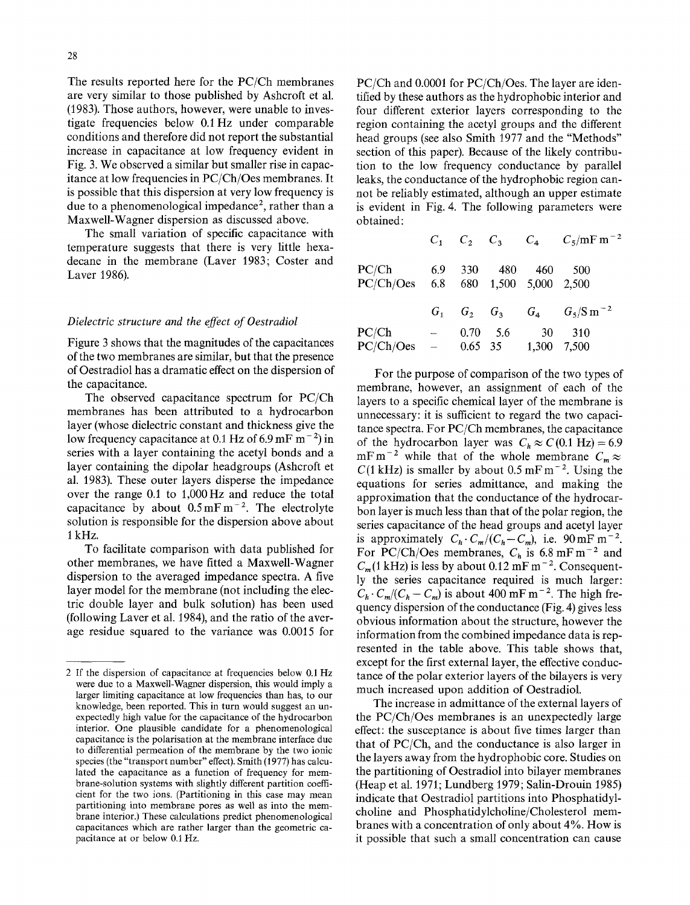The results reported here for the PC/Ch membranes are very similar to those published by Ashcroft et al. (1983). Those authors, however, were unable to investigate frequencies below 0.1 Hz under comparable conditions and therefore did not report the substantial increase in capacitance at low frequency evident in Fig. 3. We observed a similar but smaller rise in capacitance at low frequencies in PC/Ch/Oes membranes. It is possible that this dispersion at very low frequency is due to a phenomenological impedance<sup>2</sup>, rather than a Maxwell-Wagner dispersion as discussed above.

The small variation of specific capacitance with temperature suggests that there is very little hexadecane in the membrane (Laver 1983; Coster and Laver 1986).

## *Dielectric structure and the effect of Oestradiol*

Figure 3 shows that the magnitudes of the capacitances of the two membranes are similar, but that the presence of Oestradiol has a dramatic effect on the dispersion of the capacitance.

The observed capacitance spectrum for PC/Ch membranes has been attributed to a hydrocarbon layer (whose dielectric constant and thickness give the low frequency capacitance at 0.1 Hz of 6.9 mF m<sup>-2</sup>) in series with a layer containing the acetyl bonds and a layer containing the dipolar headgroups (Ashcroft et al. 1983). These outer layers disperse the impedance over the range 0.1 to 1,000Hz and reduce the total capacitance by about  $0.5 \,\mathrm{mF\,m^{-2}}$ . The electrolyte solution is responsible for the dispersion above about 1 kHz.

To facilitate comparison with data published for other membranes, we have fitted a Maxwell-Wagner dispersion to the averaged impedance spectra. A five layer model for the membrane (not including the electric double layer and bulk solution) has been used (following Laver et al. 1984), and the ratio of the average residue squared to the variance was 0.0015 for PC/Ch and 0.0001 for PC/Ch/Oes. The layer are identified by these authors as the hydrophobic interior and four different exterior layers corresponding to the region containing the acetyl groups and the different head groups (see also Smith 1977 and the "Methods" section of this paper). Because of the likely contribution to the low frequency conductance by parallel leaks, the conductance of the hydrophobie region cannot be reliably estimated, although an upper estimate is evident in Fig. 4. The following parameters were obtained:

|                                              |                 |      |         |                                 | $C_1$ $C_2$ $C_3$ $C_4$ $C_5/mF m^{-2}$        |
|----------------------------------------------|-----------------|------|---------|---------------------------------|------------------------------------------------|
| PC/Ch<br>PC/Ch/Oes 6.8 680 1,500 5,000 2,500 | 6.9             |      | 330 480 | 460                             | 500                                            |
|                                              |                 |      |         |                                 | $G_1$ $G_2$ $G_3$ $G_4$ $G_5/S \text{ m}^{-2}$ |
| PC/Ch<br>PC/Ch/Oes                           | <b>Contract</b> | 0.70 | 5.6     | - 30<br>$-$ 0.65 35 1,300 7,500 | 310                                            |

For the purpose of comparison of the two types of membrane, however, an assignment of each of the layers to a specific chemical layer of the membrane is unnecessary: it is sufficient to regard the two capacitance spectra. For PC/Ch membranes, the capacitance of the hydrocarbon layer was  $C_h \approx C(0.1 \text{ Hz}) = 6.9$ mFm<sup>-2</sup> while that of the whole membrane  $C_m \approx$  $C(1 \text{ kHz})$  is smaller by about 0.5 mF m<sup>-2</sup>. Using the equations for series admittance, and making the approximation that the conductance of the hydrocarbon layer is much less than that of the polar region, the series capacitance of the head groups and aeetyl layer is approximately  $C_h \cdot C_m / (C_h - C_m)$ , i.e. 90 mF m<sup>-2</sup>. For PC/Ch/Oes membranes,  $C_h$  is 6.8 mF m<sup>-2</sup> and  $C_m(1 \text{ kHz})$  is less by about 0.12 mF m<sup>-2</sup>. Consequently the series capacitance required is much larger:  $C_h \cdot C_m / (C_h - C_m)$  is about 400 mF m<sup>-2</sup>. The high frequency dispersion of the conductance (Fig. 4) gives less obvious information about the structure, however the information from the combined impedance data is represented in the table above. This table shows that, except for the first external layer, the effective conductance of the polar exterior layers of the bilayers is very much increased upon addition of Oestradiol.

The increase in admittance of the external layers of the PC/Ch/Oes membranes is an unexpectedly large effect: the susceptanee is about five times larger than that of PC/Ch, and the conductance is also larger in the layers away from the hydrophobic core. Studies on the partitioning of Oestradiol into bilayer membranes (Heap et al. 1971; Lundberg 1979; Salin-Drouin 1985) indicate that Oestradiol partitions into Phosphatidylcholine and Phosphatidylcholine/Cholesterol membranes with a concentration of only about 4%. How is it possible that such a small concentration can cause

<sup>2</sup> If the dispersion of capacitance at frequencies below 0.1 Hz were due to a Maxwell-Wagner dispersion, this would imply a larger limiting capacitance at low frequencies than has, to our knowledge, been reported. This in turn would suggest an unexpectedly high value for the capacitance of the hydrocarbon interior. One plausible candidate for a phenomenological capacitance is the polarisation at the membrane interface due to differential permeation of the membrane by the two ionic species (the "transport number" effect). Smith (1977) has calculated the capacitance as a function of frequency for membrane-solution systems with slightly different partition coefficient for the two ions. (Partitioning in this case may mean partitioning into membrane pores as well as into the membrane interior.) These calculations predict phenomenological capacitances which are rather larger than the geometric capacitance at or below 0.1 Hz.